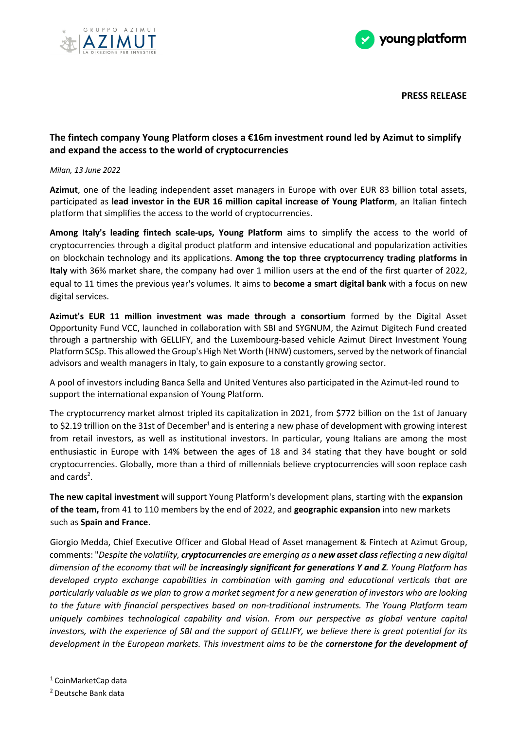



**PRESS RELEASE**

## **The fintech company Young Platform closes a €16m investment round led by Azimut to simplify and expand the access to the world of cryptocurrencies**

## *Milan, 13 June 2022*

**Azimut**, one of the leading independent asset managers in Europe with over EUR 83 billion total assets, participated as **lead investor in the EUR 16 million capital increase of Young Platform**, an Italian fintech platform that simplifies the access to the world of cryptocurrencies.

**Among Italy's leading fintech scale-ups, Young Platform** aims to simplify the access to the world of cryptocurrencies through a digital product platform and intensive educational and popularization activities on blockchain technology and its applications. **Among the top three cryptocurrency trading platforms in Italy** with 36% market share, the company had over 1 million users at the end of the first quarter of 2022, equal to 11 times the previous year's volumes. It aims to **become a smart digital bank** with a focus on new digital services.

**Azimut's EUR 11 million investment was made through a consortium** formed by the Digital Asset Opportunity Fund VCC, launched in collaboration with SBI and SYGNUM, the Azimut Digitech Fund created through a partnership with GELLIFY, and the Luxembourg-based vehicle Azimut Direct Investment Young Platform SCSp. This allowed the Group's High Net Worth (HNW) customers, served by the network of financial advisors and wealth managers in Italy, to gain exposure to a constantly growing sector.

A pool of investors including Banca Sella and United Ventures also participated in the Azimut-led round to support the international expansion of Young Platform.

The cryptocurrency market almost tripled its capitalization in 2021, from \$772 billion on the 1st of January to \$2.19 trillion on the 31st of December<sup>1</sup> and is entering a new phase of development with growing interest from retail investors, as well as institutional investors. In particular, young Italians are among the most enthusiastic in Europe with 14% between the ages of 18 and 34 stating that they have bought or sold cryptocurrencies. Globally, more than a third of millennials believe cryptocurrencies will soon replace cash and cards<sup>2</sup>.

**The new capital investment** will support Young Platform's development plans, starting with the **expansion of the team,** from 41 to 110 members by the end of 2022, and **geographic expansion** into new markets such as **Spain and France**.

Giorgio Medda, Chief Executive Officer and Global Head of Asset management & Fintech at Azimut Group, comments: "*Despite the volatility, cryptocurrencies are emerging as a new asset class reflecting a new digital dimension of the economy that will be increasingly significant for generations Y and Z. Young Platform has developed crypto exchange capabilities in combination with gaming and educational verticals that are particularly valuable as we plan to grow a market segment for a new generation of investors who are looking to the future with financial perspectives based on non-traditional instruments. The Young Platform team uniquely combines technological capability and vision. From our perspective as global venture capital investors, with the experience of SBI and the support of GELLIFY, we believe there is great potential for its development in the European markets. This investment aims to be the cornerstone for the development of*